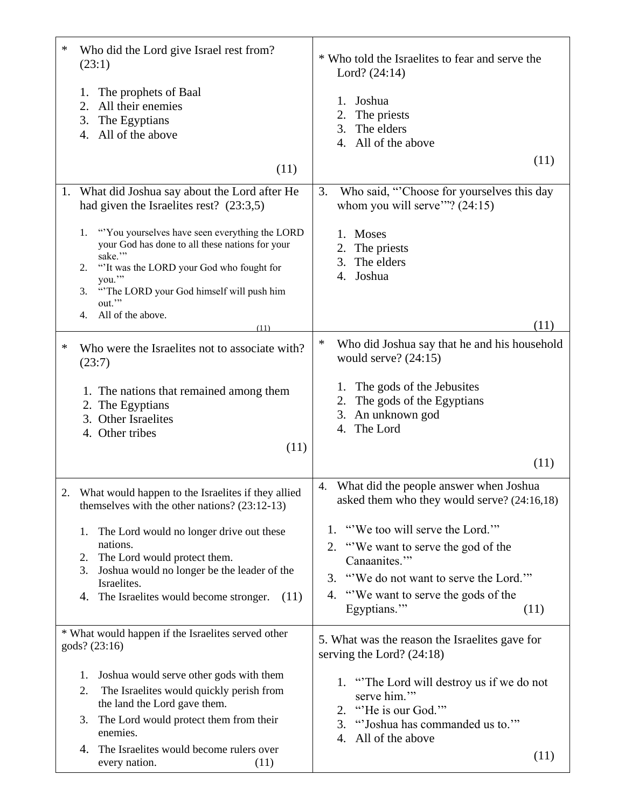| ∗ | Who did the Lord give Israel rest from?<br>(23:1)                                                                                                                                                                                                                   | * Who told the Israelites to fear and serve the<br>Lord? $(24:14)$                                                                                                                                        |
|---|---------------------------------------------------------------------------------------------------------------------------------------------------------------------------------------------------------------------------------------------------------------------|-----------------------------------------------------------------------------------------------------------------------------------------------------------------------------------------------------------|
|   | The prophets of Baal<br>1.<br>All their enemies<br>2.<br>3.<br>The Egyptians<br>All of the above<br>4.                                                                                                                                                              | Joshua<br>1.<br>The priests<br>2.<br>The elders<br>3.<br>All of the above<br>4.                                                                                                                           |
|   | (11)                                                                                                                                                                                                                                                                | (11)                                                                                                                                                                                                      |
|   | 1. What did Joshua say about the Lord after He<br>had given the Israelites rest? $(23:3,5)$                                                                                                                                                                         | Who said, "Choose for yourselves this day<br>3.<br>whom you will serve"? $(24:15)$                                                                                                                        |
|   | "You yourselves have seen everything the LORD"<br>1.<br>your God has done to all these nations for your<br>sake."<br>"'It was the LORD your God who fought for<br>2.<br>you."<br>"The LORD your God himself will push him<br>3.<br>out."<br>All of the above.<br>4. | 1. Moses<br>The priests<br>2.<br>The elders<br>3.<br>4. Joshua                                                                                                                                            |
|   | (11)                                                                                                                                                                                                                                                                | (11)<br>∗<br>Who did Joshua say that he and his household                                                                                                                                                 |
| ∗ | Who were the Israelites not to associate with?<br>(23:7)<br>1. The nations that remained among them<br>2. The Egyptians<br>3. Other Israelites<br>4. Other tribes<br>(11)                                                                                           | would serve? $(24:15)$<br>The gods of the Jebusites<br>1.<br>The gods of the Egyptians<br>2.<br>An unknown god<br>3.<br>The Lord<br>4.                                                                    |
|   |                                                                                                                                                                                                                                                                     | (11)                                                                                                                                                                                                      |
| 2 | What would happen to the Israelites if they allied<br>themselves with the other nations? $(23:12-13)$                                                                                                                                                               | 4. What did the people answer when Joshua<br>asked them who they would serve? (24:16,18)                                                                                                                  |
|   | The Lord would no longer drive out these<br>1.<br>nations.<br>The Lord would protect them.<br>2.<br>Joshua would no longer be the leader of the<br>3.<br>Israelites.<br>4. The Israelites would become stronger.<br>(11)                                            | "We too will serve the Lord."<br>1.<br>2. "We want to serve the god of the<br>Canaanites."<br>"We do not want to serve the Lord."<br>3.<br>"We want to serve the gods of the<br>4.<br>Egyptians."<br>(11) |
|   | * What would happen if the Israelites served other<br>gods? (23:16)                                                                                                                                                                                                 | 5. What was the reason the Israelites gave for<br>serving the Lord? $(24:18)$                                                                                                                             |
|   | Joshua would serve other gods with them<br>1.<br>The Israelites would quickly perish from<br>2.<br>the land the Lord gave them.<br>The Lord would protect them from their<br>3.<br>enemies.<br>The Israelites would become rulers over<br>4.                        | 1. "The Lord will destroy us if we do not<br>serve him."<br>"He is our God."<br>2.<br>"Joshua has commanded us to.""<br>3.<br>All of the above<br>4.<br>(11)                                              |
|   | every nation.<br>(11)                                                                                                                                                                                                                                               |                                                                                                                                                                                                           |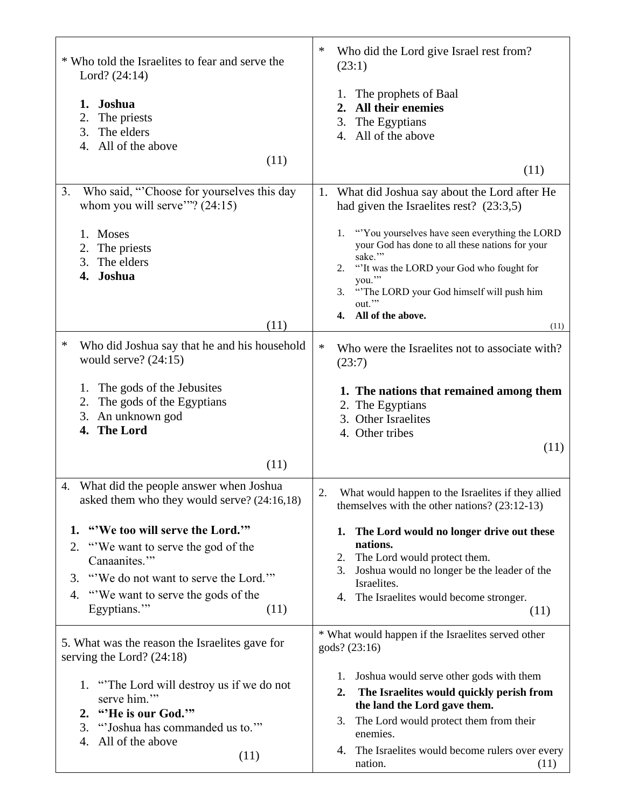| * Who told the Israelites to fear and serve the<br>Lord? (24:14)<br>Joshua<br>1.<br>The priests<br>2.<br>The elders<br>3.<br>All of the above<br>4.                                                           | ∗<br>Who did the Lord give Israel rest from?<br>(23:1)<br>1. The prophets of Baal<br>All their enemies<br>2.<br>The Egyptians<br>3.<br>4. All of the above                                                                                                                 |
|---------------------------------------------------------------------------------------------------------------------------------------------------------------------------------------------------------------|----------------------------------------------------------------------------------------------------------------------------------------------------------------------------------------------------------------------------------------------------------------------------|
| (11)                                                                                                                                                                                                          | (11)                                                                                                                                                                                                                                                                       |
| Who said, "Choose for yourselves this day<br>3.<br>whom you will serve"? $(24:15)$                                                                                                                            | What did Joshua say about the Lord after He<br>1.<br>had given the Israelites rest? $(23:3,5)$                                                                                                                                                                             |
| 1. Moses<br>2.<br>The priests<br>The elders<br>3.<br>Joshua<br>4.<br>(11)                                                                                                                                     | "You yourselves have seen everything the LORD"<br>1.<br>your God has done to all these nations for your<br>sake."<br>"It was the LORD your God who fought for<br>2.<br>you."<br>"The LORD your God himself will push him<br>3.<br>out."<br>All of the above.<br>4.<br>(11) |
| ∗<br>Who did Joshua say that he and his household<br>would serve? $(24:15)$                                                                                                                                   | $\ast$<br>Who were the Israelites not to associate with?<br>(23:7)                                                                                                                                                                                                         |
| The gods of the Jebusites<br>1.<br>2.<br>The gods of the Egyptians<br>3.<br>An unknown god<br><b>The Lord</b><br>4.<br>(11)                                                                                   | 1. The nations that remained among them<br>2. The Egyptians<br>3. Other Israelites<br>4. Other tribes<br>(11)                                                                                                                                                              |
| What did the people answer when Joshua<br>4.<br>asked them who they would serve? (24:16,18)                                                                                                                   | 2.<br>What would happen to the Israelites if they allied<br>themselves with the other nations? $(23:12-13)$                                                                                                                                                                |
| "We too will serve the Lord.""<br>1.<br>"We want to serve the god of the<br>2.<br>Canaanites."<br>"We do not want to serve the Lord."<br>3.<br>"We want to serve the gods of the<br>4.<br>Egyptians."<br>(11) | 1. The Lord would no longer drive out these<br>nations.<br>The Lord would protect them.<br>2.<br>Joshua would no longer be the leader of the<br>3.<br>Israelites.<br>4. The Israelites would become stronger.<br>(11)                                                      |
| 5. What was the reason the Israelites gave for<br>serving the Lord? $(24:18)$                                                                                                                                 | * What would happen if the Israelites served other<br>gods? (23:16)                                                                                                                                                                                                        |
| 1. "The Lord will destroy us if we do not<br>serve him."<br>2. "He is our God."<br>"Joshua has commanded us to.""<br>3.<br>All of the above<br>4.<br>(11)                                                     | 1. Joshua would serve other gods with them<br>The Israelites would quickly perish from<br>2.<br>the land the Lord gave them.<br>The Lord would protect them from their<br>3.<br>enemies.<br>The Israelites would become rulers over every<br>4.<br>nation.<br>(11)         |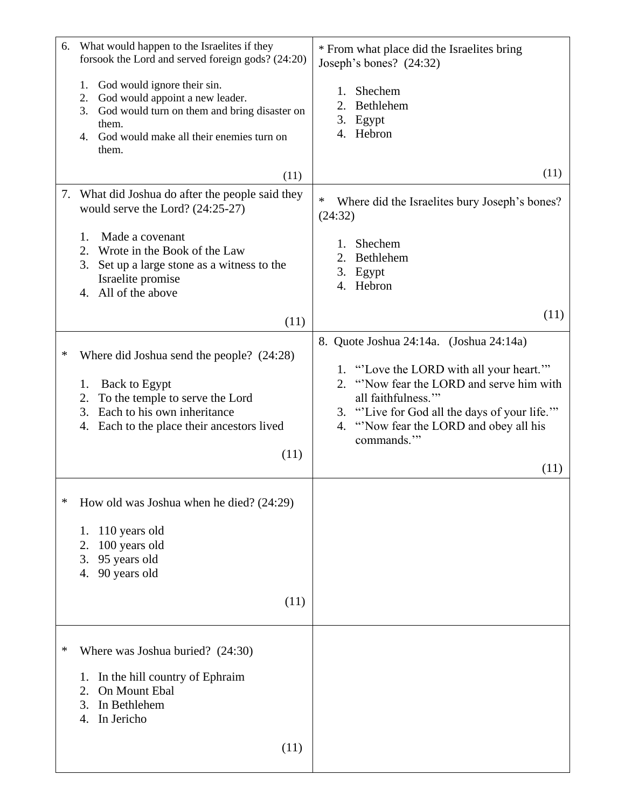| 6. | What would happen to the Israelites if they<br>forsook the Lord and served foreign gods? (24:20)                                                                                                          | * From what place did the Israelites bring<br>Joseph's bones? (24:32)                                                                                                                                                                                                      |
|----|-----------------------------------------------------------------------------------------------------------------------------------------------------------------------------------------------------------|----------------------------------------------------------------------------------------------------------------------------------------------------------------------------------------------------------------------------------------------------------------------------|
|    | God would ignore their sin.<br>1.<br>God would appoint a new leader.<br>2.<br>3.<br>God would turn on them and bring disaster on<br>them.<br>4. God would make all their enemies turn on<br>them.         | Shechem<br>Bethlehem<br>2.<br>3. Egypt<br>4. Hebron                                                                                                                                                                                                                        |
|    | (11)                                                                                                                                                                                                      | (11)                                                                                                                                                                                                                                                                       |
| 7. | What did Joshua do after the people said they<br>would serve the Lord? $(24:25-27)$                                                                                                                       | Where did the Israelites bury Joseph's bones?<br>(24:32)                                                                                                                                                                                                                   |
|    | Made a covenant<br>1.<br>2.<br>Wrote in the Book of the Law<br>3.<br>Set up a large stone as a witness to the<br>Israelite promise<br>4. All of the above                                                 | Shechem<br>Bethlehem<br>2.<br>3. Egypt<br>4. Hebron                                                                                                                                                                                                                        |
|    | (11)                                                                                                                                                                                                      | (11)                                                                                                                                                                                                                                                                       |
| ∗  | Where did Joshua send the people? $(24:28)$<br>1.<br>Back to Egypt<br>2.<br>To the temple to serve the Lord<br>Each to his own inheritance<br>3.<br>Each to the place their ancestors lived<br>4.<br>(11) | 8. Quote Joshua 24:14a. (Joshua 24:14a)<br>1. "Love the LORD with all your heart."<br>"Now fear the LORD and serve him with<br>2.<br>all faithfulness."<br>3. "Live for God all the days of your life."<br>"Now fear the LORD and obey all his<br>4.<br>commands."<br>(11) |
| ∗  | How old was Joshua when he died? (24:29)                                                                                                                                                                  |                                                                                                                                                                                                                                                                            |
|    | 110 years old<br>1.<br>2.<br>100 years old<br>3.<br>95 years old<br>90 years old<br>4.                                                                                                                    |                                                                                                                                                                                                                                                                            |
|    | (11)                                                                                                                                                                                                      |                                                                                                                                                                                                                                                                            |
| ∗  | Where was Joshua buried? (24:30)<br>In the hill country of Ephraim<br>1.<br>2.<br>On Mount Ebal<br>3.<br>In Bethlehem<br>In Jericho<br>4.<br>(11)                                                         |                                                                                                                                                                                                                                                                            |